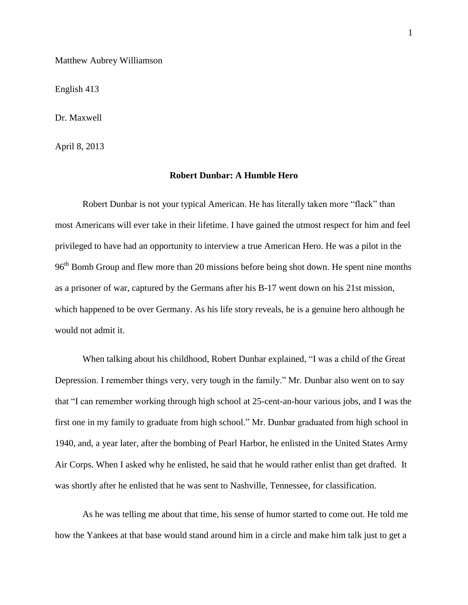Matthew Aubrey Williamson

English 413

Dr. Maxwell

April 8, 2013

## **Robert Dunbar: A Humble Hero**

Robert Dunbar is not your typical American. He has literally taken more "flack" than most Americans will ever take in their lifetime. I have gained the utmost respect for him and feel privileged to have had an opportunity to interview a true American Hero. He was a pilot in the 96<sup>th</sup> Bomb Group and flew more than 20 missions before being shot down. He spent nine months as a prisoner of war, captured by the Germans after his B-17 went down on his 21st mission, which happened to be over Germany. As his life story reveals, he is a genuine hero although he would not admit it.

When talking about his childhood, Robert Dunbar explained, "I was a child of the Great Depression. I remember things very, very tough in the family." Mr. Dunbar also went on to say that "I can remember working through high school at 25-cent-an-hour various jobs, and I was the first one in my family to graduate from high school." Mr. Dunbar graduated from high school in 1940, and, a year later, after the bombing of Pearl Harbor, he enlisted in the United States Army Air Corps. When I asked why he enlisted, he said that he would rather enlist than get drafted. It was shortly after he enlisted that he was sent to Nashville, Tennessee, for classification.

As he was telling me about that time, his sense of humor started to come out. He told me how the Yankees at that base would stand around him in a circle and make him talk just to get a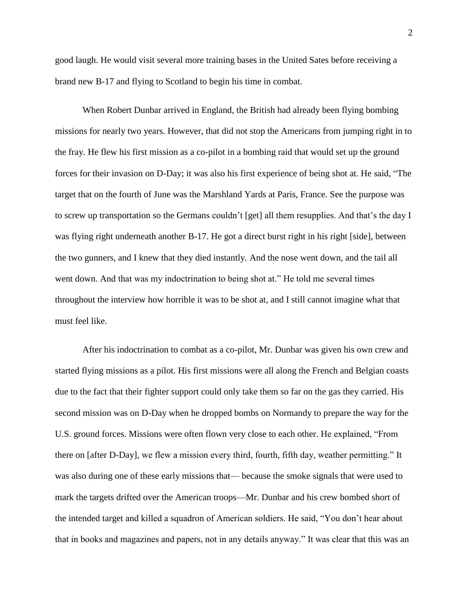good laugh. He would visit several more training bases in the United Sates before receiving a brand new B-17 and flying to Scotland to begin his time in combat.

When Robert Dunbar arrived in England, the British had already been flying bombing missions for nearly two years. However, that did not stop the Americans from jumping right in to the fray. He flew his first mission as a co-pilot in a bombing raid that would set up the ground forces for their invasion on D-Day; it was also his first experience of being shot at. He said, "The target that on the fourth of June was the Marshland Yards at Paris, France. See the purpose was to screw up transportation so the Germans couldn't [get] all them resupplies. And that's the day I was flying right underneath another B-17. He got a direct burst right in his right [side], between the two gunners, and I knew that they died instantly. And the nose went down, and the tail all went down. And that was my indoctrination to being shot at." He told me several times throughout the interview how horrible it was to be shot at, and I still cannot imagine what that must feel like.

After his indoctrination to combat as a co-pilot, Mr. Dunbar was given his own crew and started flying missions as a pilot. His first missions were all along the French and Belgian coasts due to the fact that their fighter support could only take them so far on the gas they carried. His second mission was on D-Day when he dropped bombs on Normandy to prepare the way for the U.S. ground forces. Missions were often flown very close to each other. He explained, "From there on [after D-Day], we flew a mission every third, fourth, fifth day, weather permitting." It was also during one of these early missions that— because the smoke signals that were used to mark the targets drifted over the American troops—Mr. Dunbar and his crew bombed short of the intended target and killed a squadron of American soldiers. He said, "You don't hear about that in books and magazines and papers, not in any details anyway." It was clear that this was an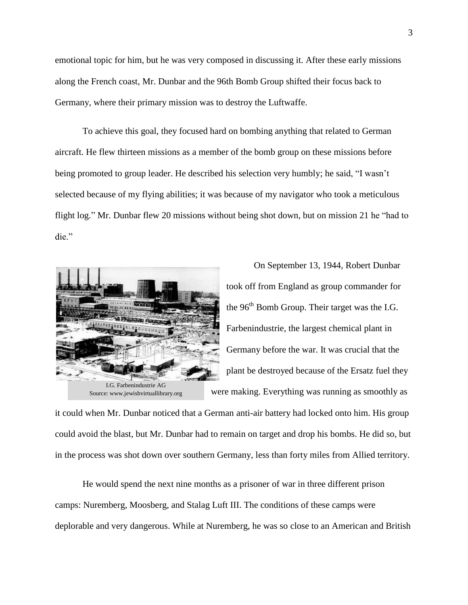emotional topic for him, but he was very composed in discussing it. After these early missions along the French coast, Mr. Dunbar and the 96th Bomb Group shifted their focus back to Germany, where their primary mission was to destroy the Luftwaffe.

To achieve this goal, they focused hard on bombing anything that related to German aircraft. He flew thirteen missions as a member of the bomb group on these missions before being promoted to group leader. He described his selection very humbly; he said, "I wasn't selected because of my flying abilities; it was because of my navigator who took a meticulous flight log." Mr. Dunbar flew 20 missions without being shot down, but on mission 21 he "had to die."



Source: www.jewishvirtuallibrary.org

On September 13, 1944, Robert Dunbar took off from England as group commander for the 96<sup>th</sup> Bomb Group. Their target was the I.G. Farbenindustrie, the largest chemical plant in Germany before the war. It was crucial that the plant be destroyed because of the Ersatz fuel they were making. Everything was running as smoothly as

it could when Mr. Dunbar noticed that a German anti-air battery had locked onto him. His group could avoid the blast, but Mr. Dunbar had to remain on target and drop his bombs. He did so, but in the process was shot down over southern Germany, less than forty miles from Allied territory.

He would spend the next nine months as a prisoner of war in three different prison camps: Nuremberg, Moosberg, and Stalag Luft III. The conditions of these camps were deplorable and very dangerous. While at Nuremberg, he was so close to an American and British